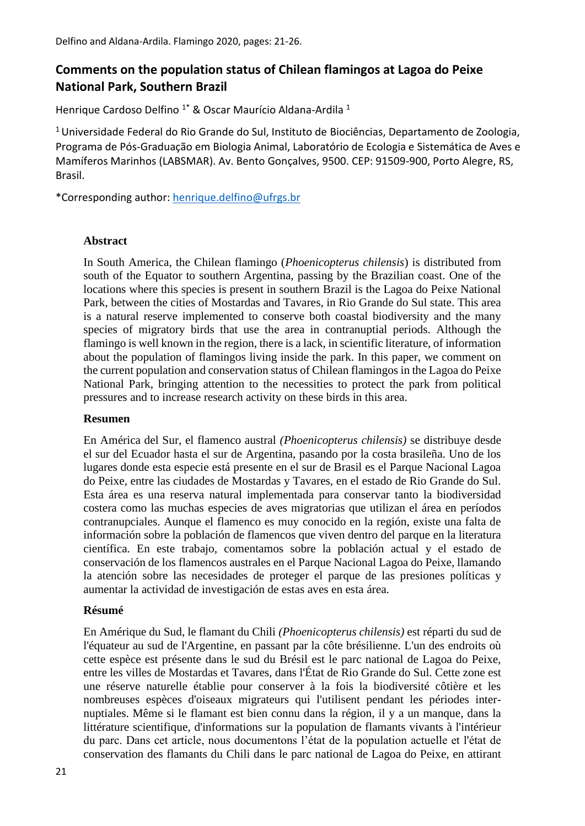# **Comments on the population status of Chilean flamingos at Lagoa do Peixe National Park, Southern Brazil**

Henrique Cardoso Delfino<sup>1\*</sup> & Oscar Maurício Aldana-Ardila<sup>1</sup>

<sup>1</sup>Universidade Federal do Rio Grande do Sul, Instituto de Biociências, Departamento de Zoologia, Programa de Pós-Graduação em Biologia Animal, Laboratório de Ecologia e Sistemática de Aves e Mamíferos Marinhos (LABSMAR). Av. Bento Gonçalves, 9500. CEP: 91509-900, Porto Alegre, RS, Brasil.

\*Corresponding author: [henrique.delfino@ufrgs.br](mailto:henrique.delfino@ufrgs.br)

### **Abstract**

In South America, the Chilean flamingo (*Phoenicopterus chilensis*) is distributed from south of the Equator to southern Argentina, passing by the Brazilian coast. One of the locations where this species is present in southern Brazil is the Lagoa do Peixe National Park, between the cities of Mostardas and Tavares, in Rio Grande do Sul state. This area is a natural reserve implemented to conserve both coastal biodiversity and the many species of migratory birds that use the area in contranuptial periods. Although the flamingo is well known in the region, there is a lack, in scientific literature, of information about the population of flamingos living inside the park. In this paper, we comment on the current population and conservation status of Chilean flamingos in the Lagoa do Peixe National Park, bringing attention to the necessities to protect the park from political pressures and to increase research activity on these birds in this area.

#### **Resumen**

En América del Sur, el flamenco austral *(Phoenicopterus chilensis)* se distribuye desde el sur del Ecuador hasta el sur de Argentina, pasando por la costa brasileña. Uno de los lugares donde esta especie está presente en el sur de Brasil es el Parque Nacional Lagoa do Peixe, entre las ciudades de Mostardas y Tavares, en el estado de Rio Grande do Sul. Esta área es una reserva natural implementada para conservar tanto la biodiversidad costera como las muchas especies de aves migratorias que utilizan el área en períodos contranupciales. Aunque el flamenco es muy conocido en la región, existe una falta de información sobre la población de flamencos que viven dentro del parque en la literatura científica. En este trabajo, comentamos sobre la población actual y el estado de conservación de los flamencos australes en el Parque Nacional Lagoa do Peixe, llamando la atención sobre las necesidades de proteger el parque de las presiones políticas y aumentar la actividad de investigación de estas aves en esta área.

### **Résumé**

En Amérique du Sud, le flamant du Chili *(Phoenicopterus chilensis)* est réparti du sud de l'équateur au sud de l'Argentine, en passant par la côte brésilienne. L'un des endroits où cette espèce est présente dans le sud du Brésil est le parc national de Lagoa do Peixe, entre les villes de Mostardas et Tavares, dans l'État de Rio Grande do Sul. Cette zone est une réserve naturelle établie pour conserver à la fois la biodiversité côtière et les nombreuses espèces d'oiseaux migrateurs qui l'utilisent pendant les périodes internuptiales. Même si le flamant est bien connu dans la région, il y a un manque, dans la littérature scientifique, d'informations sur la population de flamants vivants à l'intérieur du parc. Dans cet article, nous documentons l'état de la population actuelle et l'état de conservation des flamants du Chili dans le parc national de Lagoa do Peixe, en attirant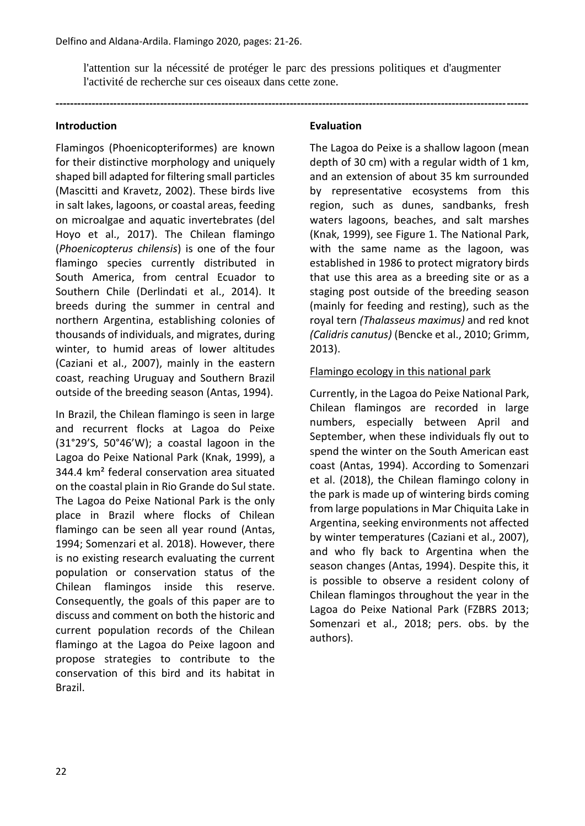l'attention sur la nécessité de protéger le parc des pressions politiques et d'augmenter l'activité de recherche sur ces oiseaux dans cette zone.

**-----------------------------------------------------------------------------------------------------------------------------------**

#### **Introduction**

Flamingos (Phoenicopteriformes) are known for their distinctive morphology and uniquely shaped bill adapted for filtering small particles (Mascitti and Kravetz, 2002). These birds live in salt lakes, lagoons, or coastal areas, feeding on microalgae and aquatic invertebrates (del Hoyo et al., 2017). The Chilean flamingo (*Phoenicopterus chilensis*) is one of the four flamingo species currently distributed in South America, from central Ecuador to Southern Chile (Derlindati et al., 2014). It breeds during the summer in central and northern Argentina, establishing colonies of thousands of individuals, and migrates, during winter, to humid areas of lower altitudes (Caziani et al., 2007), mainly in the eastern coast, reaching Uruguay and Southern Brazil outside of the breeding season (Antas, 1994).

In Brazil, the Chilean flamingo is seen in large and recurrent flocks at Lagoa do Peixe (31°29'S, 50°46'W); a coastal lagoon in the Lagoa do Peixe National Park (Knak, 1999), a 344.4 km² federal conservation area situated on the coastal plain in Rio Grande do Sul state. The Lagoa do Peixe National Park is the only place in Brazil where flocks of Chilean flamingo can be seen all year round (Antas, 1994; Somenzari et al. 2018). However, there is no existing research evaluating the current population or conservation status of the Chilean flamingos inside this reserve. Consequently, the goals of this paper are to discuss and comment on both the historic and current population records of the Chilean flamingo at the Lagoa do Peixe lagoon and propose strategies to contribute to the conservation of this bird and its habitat in Brazil.

### **Evaluation**

The Lagoa do Peixe is a shallow lagoon (mean depth of 30 cm) with a regular width of 1 km, and an extension of about 35 km surrounded by representative ecosystems from this region, such as dunes, sandbanks, fresh waters lagoons, beaches, and salt marshes (Knak, 1999), see Figure 1. The National Park, with the same name as the lagoon, was established in 1986 to protect migratory birds that use this area as a breeding site or as a staging post outside of the breeding season (mainly for feeding and resting), such as the royal tern *(Thalasseus maximus)* and red knot *(Calidris canutus)* (Bencke et al., 2010; Grimm, 2013).

### Flamingo ecology in this national park

Currently, in the Lagoa do Peixe National Park, Chilean flamingos are recorded in large numbers, especially between April and September, when these individuals fly out to spend the winter on the South American east coast (Antas, 1994). According to Somenzari et al. (2018), the Chilean flamingo colony in the park is made up of wintering birds coming from large populations in Mar Chiquita Lake in Argentina, seeking environments not affected by winter temperatures (Caziani et al., 2007), and who fly back to Argentina when the season changes (Antas, 1994). Despite this, it is possible to observe a resident colony of Chilean flamingos throughout the year in the Lagoa do Peixe National Park (FZBRS 2013; Somenzari et al., 2018; pers. obs. by the authors).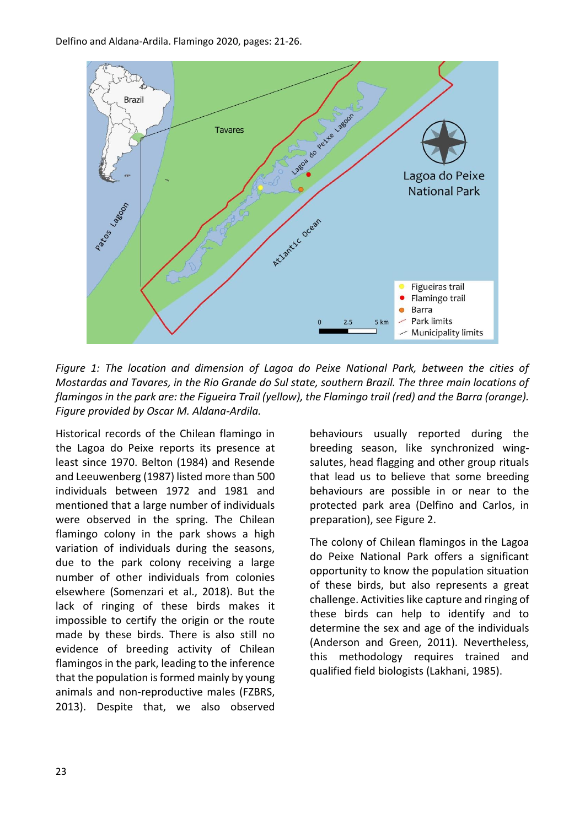

*Figure 1: The location and dimension of Lagoa do Peixe National Park, between the cities of Mostardas and Tavares, in the Rio Grande do Sul state, southern Brazil. The three main locations of flamingos in the park are: the Figueira Trail (yellow), the Flamingo trail (red) and the Barra (orange). Figure provided by Oscar M. Aldana-Ardila.*

Historical records of the Chilean flamingo in the Lagoa do Peixe reports its presence at least since 1970. Belton (1984) and Resende and Leeuwenberg (1987) listed more than 500 individuals between 1972 and 1981 and mentioned that a large number of individuals were observed in the spring. The Chilean flamingo colony in the park shows a high variation of individuals during the seasons, due to the park colony receiving a large number of other individuals from colonies elsewhere (Somenzari et al., 2018). But the lack of ringing of these birds makes it impossible to certify the origin or the route made by these birds. There is also still no evidence of breeding activity of Chilean flamingos in the park, leading to the inference that the population is formed mainly by young animals and non-reproductive males (FZBRS, 2013). Despite that, we also observed

behaviours usually reported during the breeding season, like synchronized wingsalutes, head flagging and other group rituals that lead us to believe that some breeding behaviours are possible in or near to the protected park area (Delfino and Carlos, in preparation), see Figure 2.

The colony of Chilean flamingos in the Lagoa do Peixe National Park offers a significant opportunity to know the population situation of these birds, but also represents a great challenge. Activities like capture and ringing of these birds can help to identify and to determine the sex and age of the individuals (Anderson and Green, 2011). Nevertheless, this methodology requires trained and qualified field biologists (Lakhani, 1985).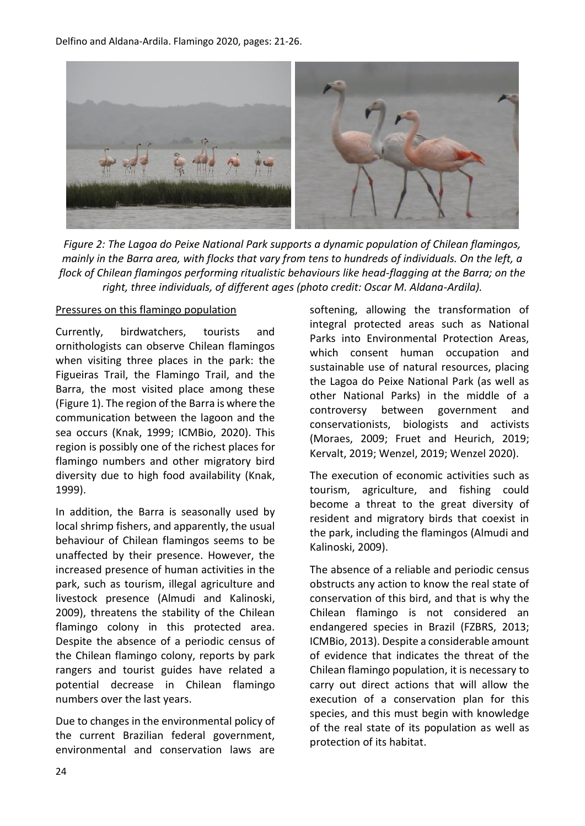Delfino and Aldana-Ardila. Flamingo 2020, pages: 21-26.



*Figure 2: The Lagoa do Peixe National Park supports a dynamic population of Chilean flamingos, mainly in the Barra area, with flocks that vary from tens to hundreds of individuals. On the left, a flock of Chilean flamingos performing ritualistic behaviours like head-flagging at the Barra; on the right, three individuals, of different ages (photo credit: Oscar M. Aldana-Ardila).*

#### Pressures on this flamingo population

Currently, birdwatchers, tourists and ornithologists can observe Chilean flamingos when visiting three places in the park: the Figueiras Trail, the Flamingo Trail, and the Barra, the most visited place among these (Figure 1). The region of the Barra is where the communication between the lagoon and the sea occurs (Knak, 1999; ICMBio, 2020). This region is possibly one of the richest places for flamingo numbers and other migratory bird diversity due to high food availability (Knak, 1999).

In addition, the Barra is seasonally used by local shrimp fishers, and apparently, the usual behaviour of Chilean flamingos seems to be unaffected by their presence. However, the increased presence of human activities in the park, such as tourism, illegal agriculture and livestock presence (Almudi and Kalinoski, 2009), threatens the stability of the Chilean flamingo colony in this protected area. Despite the absence of a periodic census of the Chilean flamingo colony, reports by park rangers and tourist guides have related a potential decrease in Chilean flamingo numbers over the last years.

Due to changes in the environmental policy of the current Brazilian federal government, environmental and conservation laws are softening, allowing the transformation of integral protected areas such as National Parks into Environmental Protection Areas, which consent human occupation and sustainable use of natural resources, placing the Lagoa do Peixe National Park (as well as other National Parks) in the middle of a controversy between government and conservationists, biologists and activists (Moraes, 2009; Fruet and Heurich, 2019; Kervalt, 2019; Wenzel, 2019; Wenzel 2020).

The execution of economic activities such as tourism, agriculture, and fishing could become a threat to the great diversity of resident and migratory birds that coexist in the park, including the flamingos (Almudi and Kalinoski, 2009).

The absence of a reliable and periodic census obstructs any action to know the real state of conservation of this bird, and that is why the Chilean flamingo is not considered an endangered species in Brazil (FZBRS, 2013; ICMBio, 2013). Despite a considerable amount of evidence that indicates the threat of the Chilean flamingo population, it is necessary to carry out direct actions that will allow the execution of a conservation plan for this species, and this must begin with knowledge of the real state of its population as well as protection of its habitat.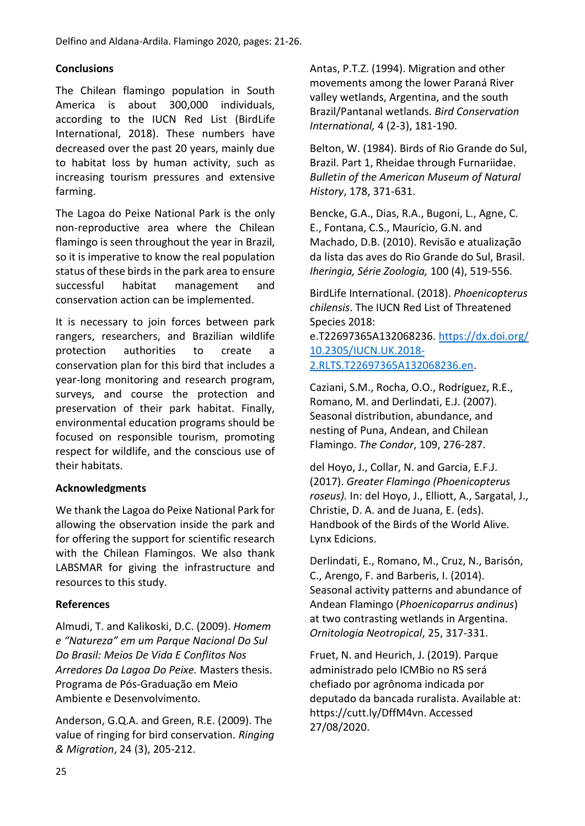# **Conclusions**

The Chilean flamingo population in South America is about 300,000 individuals, according to the IUCN Red List (BirdLife International, 2018). These numbers have decreased over the past 20 years, mainly due to habitat loss by human activity, such as increasing tourism pressures and extensive farming.

The Lagoa do Peixe National Park is the only non-reproductive area where the Chilean flamingo is seen throughout the year in Brazil, so it is imperative to know the real population status of these birds in the park area to ensure successful habitat management and conservation action can be implemented.

It is necessary to join forces between park rangers, researchers, and Brazilian wildlife protection authorities to create a conservation plan for this bird that includes a year-long monitoring and research program, surveys, and course the protection and preservation of their park habitat. Finally, environmental education programs should be focused on responsible tourism, promoting respect for wildlife, and the conscious use of their habitats.

# **Acknowledgments**

We thank the Lagoa do Peixe National Park for allowing the observation inside the park and for offering the support for scientific research with the Chilean Flamingos. We also thank LABSMAR for giving the infrastructure and resources to this study.

# **References**

Almudi, T. and Kalikoski, D.C. (2009). *Homem e "Natureza" em um Parque Nacional Do Sul Do Brasil: Meios De Vida E Conflitos Nos Arredores Da Lagoa Do Peixe.* Masters thesis. Programa de Pós-Graduação em Meio Ambiente e Desenvolvimento.

Anderson, G.Q.A. and Green, R.E. (2009). The value of ringing for bird conservation. *Ringing & Migration*, 24 (3), 205-212.

Antas, P.T.Z. (1994). Migration and other movements among the lower Paraná River valley wetlands, Argentina, and the south Brazil/Pantanal wetlands. *Bird Conservation International,* 4 (2-3), 181-190.

Belton, W. (1984). Birds of Rio Grande do Sul, Brazil. Part 1, Rheidae through Furnariidae. *Bulletin of the American Museum of Natural History*, 178, 371-631.

Bencke, G.A., Dias, R.A., Bugoni, L., Agne, C. E., Fontana, C.S., Maurício, G.N. and Machado, D.B. (2010). Revisão e atualização da lista das aves do Rio Grande do Sul, Brasil. *Iheringia, Série Zoologia,* 100 (4), 519-556.

BirdLife International. (2018). *Phoenicopterus chilensis*. The IUCN Red List of Threatened Species 2018:

e.T22697365A132068236. [https://dx.doi.org/](https://dx.doi.org/10.2305/IUCN.UK.2018-2.RLTS.T22697365A132068236.en) [10.2305/IUCN.UK.2018-](https://dx.doi.org/10.2305/IUCN.UK.2018-2.RLTS.T22697365A132068236.en) [2.RLTS.T22697365A132068236.en.](https://dx.doi.org/10.2305/IUCN.UK.2018-2.RLTS.T22697365A132068236.en)

Caziani, S.M., Rocha, O.O., Rodríguez, R.E., Romano, M. and Derlindati, E.J. (2007). Seasonal distribution, abundance, and nesting of Puna, Andean, and Chilean Flamingo. *The Condor*, 109, 276-287.

del Hoyo, J., Collar, N. and Garcia, E.F.J. (2017). *Greater Flamingo (Phoenicopterus roseus).* In: del Hoyo, J., Elliott, A., Sargatal, J., Christie, D. A. and de Juana, E. (eds). Handbook of the Birds of the World Alive. Lynx Edicions.

Derlindati, E., Romano, M., Cruz, N., Barisón, C., Arengo, F. and Barberis, I. (2014). Seasonal activity patterns and abundance of Andean Flamingo (*Phoenicoparrus andinus*) at two contrasting wetlands in Argentina. *Ornitologia Neotropical*, 25, 317-331.

Fruet, N. and Heurich, J. (2019). Parque administrado pelo ICMBio no RS será chefiado por agrônoma indicada por deputado da bancada ruralista. Available at: https://cutt.ly/DffM4vn. Accessed 27/08/2020.